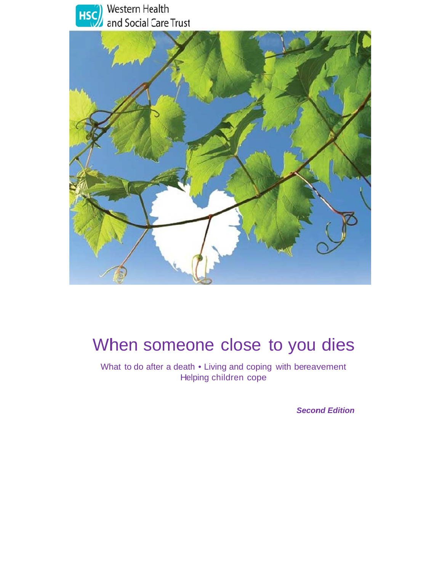



# When someone close to you dies

What to do after a death • Living and coping with bereavement Helping children cope

**Second Edition**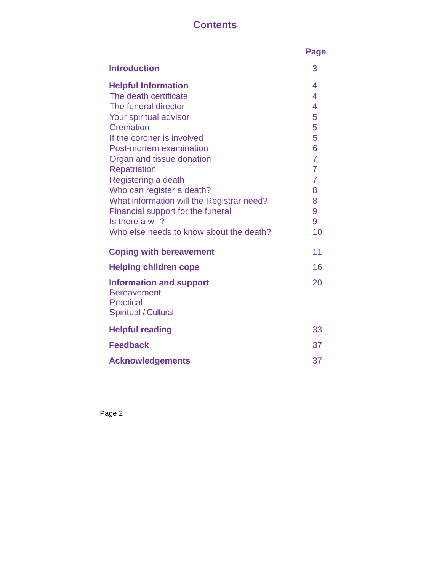# **Contents**

|                                                                          | <b>Page</b>                      |
|--------------------------------------------------------------------------|----------------------------------|
| <b>Introduction</b>                                                      | 3                                |
| <b>Helpful Information</b>                                               | 4                                |
| The death certificate                                                    | 4                                |
| The funeral director                                                     | $\overline{\mathcal{A}}$         |
| Your spiritual advisor                                                   | 5                                |
| Cremation                                                                | 5                                |
| If the coroner is involved                                               | 5                                |
| Post-mortem examination                                                  | 6                                |
| Organ and tissue donation                                                | $\overline{7}$<br>$\overline{7}$ |
| <b>Repatriation</b>                                                      | $\overline{7}$                   |
| Registering a death<br>Who can register a death?                         | 8                                |
| What information will the Registrar need?                                | 8                                |
| Financial support for the funeral                                        | 9                                |
| Is there a will?                                                         | 9                                |
| Who else needs to know about the death?                                  | 10                               |
| <b>Coping with bereavement</b>                                           | 11                               |
| <b>Helping children cope</b>                                             | 16                               |
| <b>Information and support</b><br><b>Bereavement</b><br><b>Practical</b> | 20                               |
| <b>Spiritual / Cultural</b>                                              |                                  |
| <b>Helpful reading</b>                                                   | 33                               |
| <b>Feedback</b>                                                          | 37                               |
| <b>Acknowledgements</b>                                                  | 37                               |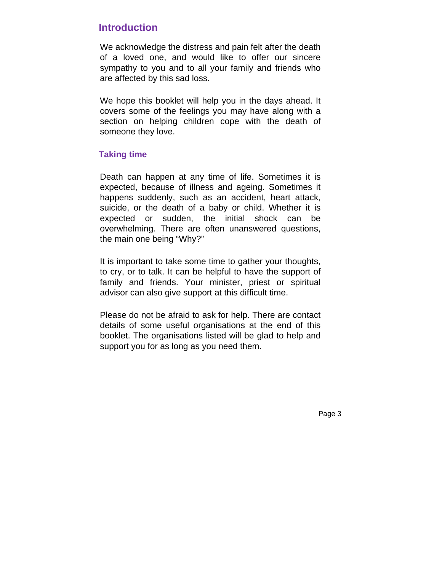# **Introduction**

We acknowledge the distress and pain felt after the death of a loved one, and would like to offer our sincere sympathy to you and to all your family and friends who are affected by this sad loss.

We hope this booklet will help you in the days ahead. It covers some of the feelings you may have along with a section on helping children cope with the death of someone they love.

# **Taking time**

Death can happen at any time of life. Sometimes it is expected, because of illness and ageing. Sometimes it happens suddenly, such as an accident, heart attack, suicide, or the death of a baby or child. Whether it is expected or sudden, the initial shock can be overwhelming. There are often unanswered questions, the main one being "Why?"

It is important to take some time to gather your thoughts, to cry, or to talk. It can be helpful to have the support of family and friends. Your minister, priest or spiritual advisor can also give support at this difficult time.

Please do not be afraid to ask for help. There are contact details of some useful organisations at the end of this booklet. The organisations listed will be glad to help and support you for as long as you need them.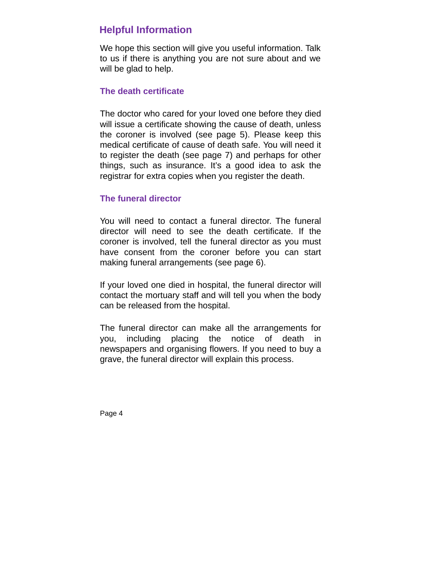# **Helpful Information**

We hope this section will give you useful information. Talk to us if there is anything you are not sure about and we will be glad to help.

# **The death certificate**

The doctor who cared for your loved one before they died will issue a certificate showing the cause of death, unless the coroner is involved (see page 5). Please keep this medical certificate of cause of death safe. You will need it to register the death (see page 7) and perhaps for other things, such as insurance. It's a good idea to ask the registrar for extra copies when you register the death.

# **The funeral director**

You will need to contact a funeral director. The funeral director will need to see the death certificate. If the coroner is involved, tell the funeral director as you must have consent from the coroner before you can start making funeral arrangements (see page 6).

If your loved one died in hospital, the funeral director will contact the mortuary staff and will tell you when the body can be released from the hospital.

The funeral director can make all the arrangements for you, including placing the notice of death in newspapers and organising flowers. If you need to buy a grave, the funeral director will explain this process.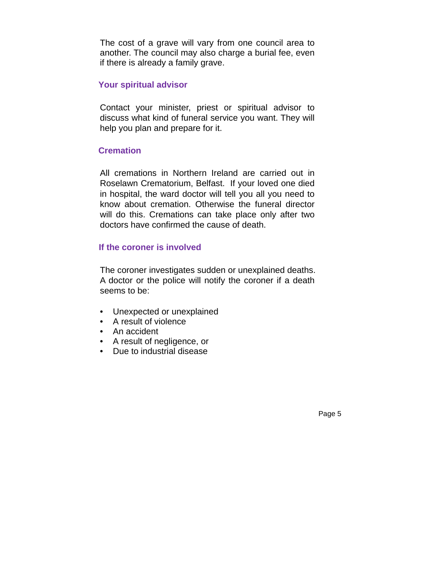The cost of a grave will vary from one council area to another. The council may also charge a burial fee, even if there is already a family grave.

# **Your spiritual advisor**

Contact your minister, priest or spiritual advisor to discuss what kind of funeral service you want. They will help you plan and prepare for it.

# **Cremation**

All cremations in Northern Ireland are carried out in Roselawn Crematorium, Belfast. If your loved one died in hospital, the ward doctor will tell you all you need to know about cremation. Otherwise the funeral director will do this. Cremations can take place only after two doctors have confirmed the cause of death.

# **If the coroner is involved**

The coroner investigates sudden or unexplained deaths. A doctor or the police will notify the coroner if a death seems to be:

- Unexpected or unexplained
- A result of violence
- An accident
- A result of negligence, or
- Due to industrial disease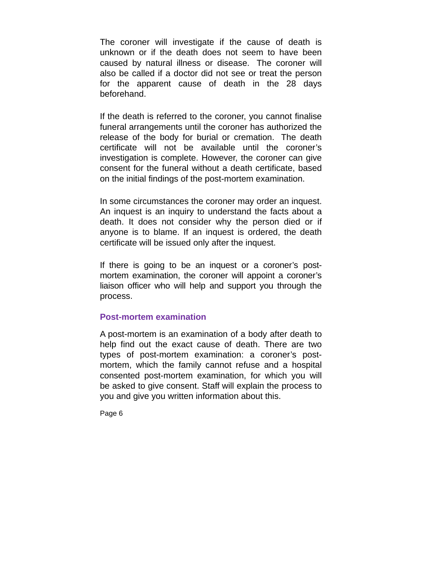The coroner will investigate if the cause of death is unknown or if the death does not seem to have been caused by natural illness or disease. The coroner will also be called if a doctor did not see or treat the person for the apparent cause of death in the 28 days beforehand.

If the death is referred to the coroner, you cannot finalise funeral arrangements until the coroner has authorized the release of the body for burial or cremation. The death certificate will not be available until the coroner's investigation is complete. However, the coroner can give consent for the funeral without a death certificate, based on the initial findings of the post-mortem examination.

In some circumstances the coroner may order an inquest. An inquest is an inquiry to understand the facts about a death. It does not consider why the person died or if anyone is to blame. If an inquest is ordered, the death certificate will be issued only after the inquest.

If there is going to be an inquest or a coroner's postmortem examination, the coroner will appoint a coroner's liaison officer who will help and support you through the process.

### **Post-mortem examination**

A post-mortem is an examination of a body after death to help find out the exact cause of death. There are two types of post-mortem examination: a coroner's postmortem, which the family cannot refuse and a hospital consented post-mortem examination, for which you will be asked to give consent. Staff will explain the process to you and give you written information about this.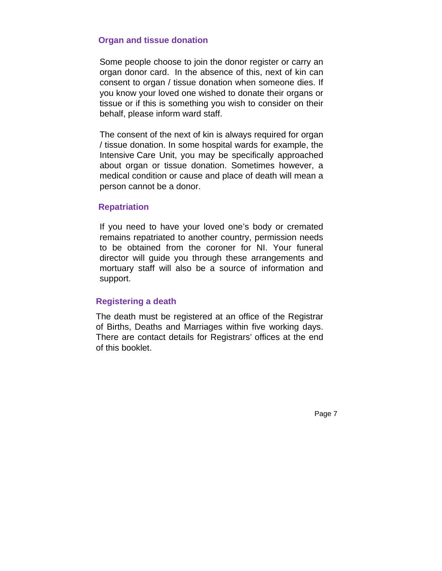### **Organ and tissue donation**

Some people choose to join the donor register or carry an organ donor card. In the absence of this, next of kin can consent to organ / tissue donation when someone dies. If you know your loved one wished to donate their organs or tissue or if this is something you wish to consider on their behalf, please inform ward staff.

The consent of the next of kin is always required for organ / tissue donation. In some hospital wards for example, the Intensive Care Unit, you may be specifically approached about organ or tissue donation. Sometimes however, a medical condition or cause and place of death will mean a person cannot be a donor.

### **Repatriation**

If you need to have your loved one's body or cremated remains repatriated to another country, permission needs to be obtained from the coroner for NI. Your funeral director will guide you through these arrangements and mortuary staff will also be a source of information and support.

# **Registering a death**

The death must be registered at an office of the Registrar of Births, Deaths and Marriages within five working days. There are contact details for Registrars' offices at the end of this booklet.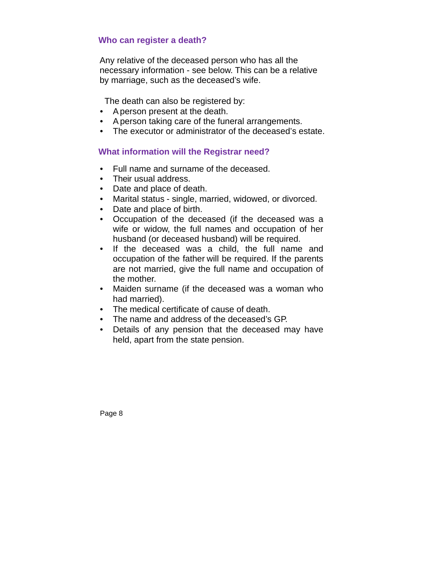# **Who can register a death?**

Any relative of the deceased person who has all the necessary information - see below. This can be a relative by marriage, such as the deceased's wife.

The death can also be registered by:

- A person present at the death.
- A person taking care of the funeral arrangements.
- The executor or administrator of the deceased's estate.

# **What information will the Registrar need?**

- Full name and surname of the deceased.
- Their usual address.
- Date and place of death.
- Marital status single, married, widowed, or divorced.
- Date and place of birth.
- Occupation of the deceased (if the deceased was a wife or widow, the full names and occupation of her husband (or deceased husband) will be required.
- If the deceased was a child, the full name and occupation of the father will be required. If the parents are not married, give the full name and occupation of the mother.
- Maiden surname (if the deceased was a woman who had married).
- The medical certificate of cause of death.
- The name and address of the deceased's GP.
- Details of any pension that the deceased may have held, apart from the state pension.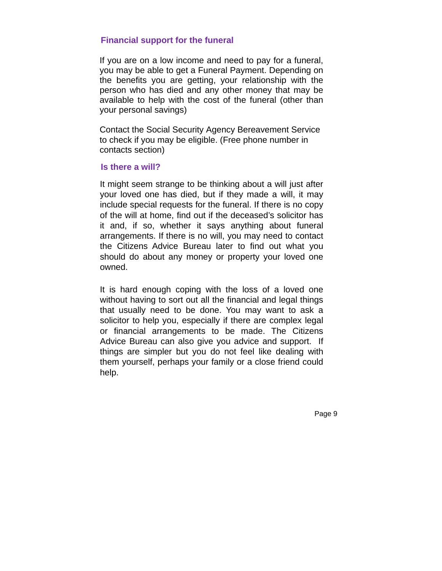# **Financial support for the funeral**

If you are on a low income and need to pay for a funeral, you may be able to get a Funeral Payment. Depending on the benefits you are getting, your relationship with the person who has died and any other money that may be available to help with the cost of the funeral (other than your personal savings)

Contact the Social Security Agency Bereavement Service to check if you may be eligible. (Free phone number in contacts section)

### **Is there a will?**

It might seem strange to be thinking about a will just after your loved one has died, but if they made a will, it may include special requests for the funeral. If there is no copy of the will at home, find out if the deceased's solicitor has it and, if so, whether it says anything about funeral arrangements. If there is no will, you may need to contact the Citizens Advice Bureau later to find out what you should do about any money or property your loved one owned.

It is hard enough coping with the loss of a loved one without having to sort out all the financial and legal things that usually need to be done. You may want to ask a solicitor to help you, especially if there are complex legal or financial arrangements to be made. The Citizens Advice Bureau can also give you advice and support. If things are simpler but you do not feel like dealing with them yourself, perhaps your family or a close friend could help.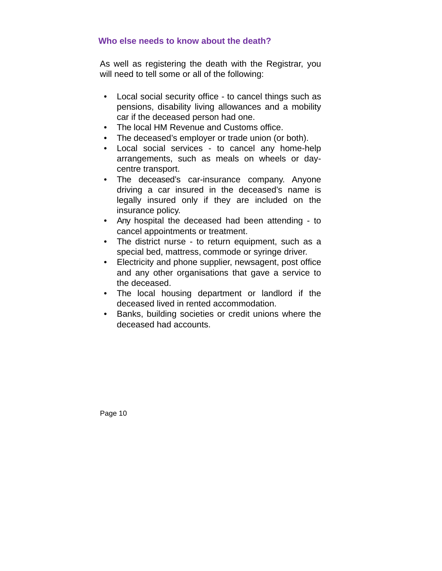# **Who else needs to know about the death?**

As well as registering the death with the Registrar, you will need to tell some or all of the following:

- Local social security office to cancel things such as pensions, disability living allowances and a mobility car if the deceased person had one.
- The local HM Revenue and Customs office.
- The deceased's employer or trade union (or both).
- Local social services to cancel any home-help arrangements, such as meals on wheels or daycentre transport.
- The deceased's car-insurance company. Anyone driving a car insured in the deceased's name is legally insured only if they are included on the insurance policy.
- Any hospital the deceased had been attending to cancel appointments or treatment.
- The district nurse to return equipment, such as a special bed, mattress, commode or syringe driver.
- Electricity and phone supplier, newsagent, post office and any other organisations that gave a service to the deceased.
- The local housing department or landlord if the deceased lived in rented accommodation.
- Banks, building societies or credit unions where the deceased had accounts.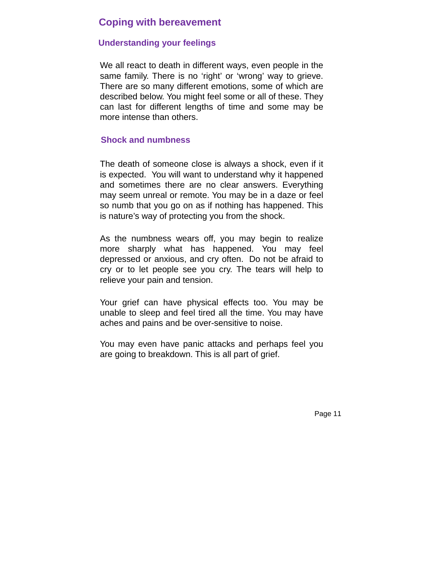# **Coping with bereavement**

### **Understanding your feelings**

We all react to death in different ways, even people in the same family. There is no 'right' or 'wrong' way to grieve. There are so many different emotions, some of which are described below. You might feel some or all of these. They can last for different lengths of time and some may be more intense than others.

### **Shock and numbness**

The death of someone close is always a shock, even if it is expected. You will want to understand why it happened and sometimes there are no clear answers. Everything may seem unreal or remote. You may be in a daze or feel so numb that you go on as if nothing has happened. This is nature's way of protecting you from the shock.

As the numbness wears off, you may begin to realize more sharply what has happened. You may feel depressed or anxious, and cry often. Do not be afraid to cry or to let people see you cry. The tears will help to relieve your pain and tension.

Your grief can have physical effects too. You may be unable to sleep and feel tired all the time. You may have aches and pains and be over-sensitive to noise.

You may even have panic attacks and perhaps feel you are going to breakdown. This is all part of grief.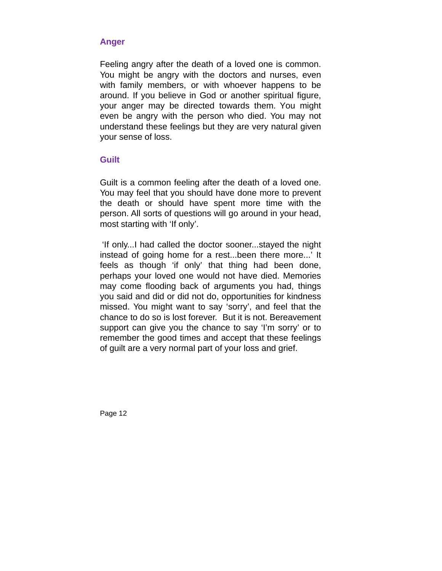# **Anger**

Feeling angry after the death of a loved one is common. You might be angry with the doctors and nurses, even with family members, or with whoever happens to be around. If you believe in God or another spiritual figure, your anger may be directed towards them. You might even be angry with the person who died. You may not understand these feelings but they are very natural given your sense of loss.

# **Guilt**

Guilt is a common feeling after the death of a loved one. You may feel that you should have done more to prevent the death or should have spent more time with the person. All sorts of questions will go around in your head, most starting with 'If only'.

 'If only...I had called the doctor sooner...stayed the night instead of going home for a rest...been there more...' It feels as though 'if only' that thing had been done, perhaps your loved one would not have died. Memories may come flooding back of arguments you had, things you said and did or did not do, opportunities for kindness missed. You might want to say 'sorry', and feel that the chance to do so is lost forever. But it is not. Bereavement support can give you the chance to say 'I'm sorry' or to remember the good times and accept that these feelings of guilt are a very normal part of your loss and grief.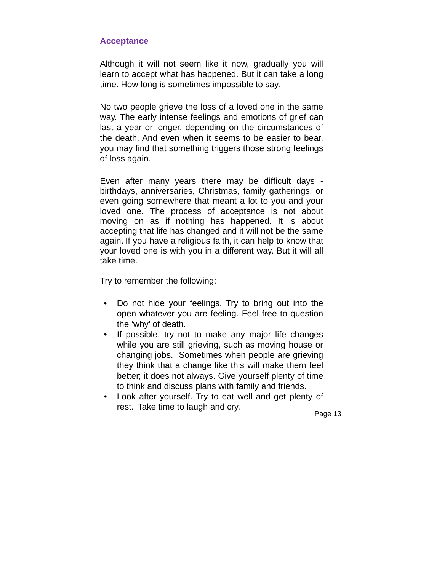# **Acceptance**

Although it will not seem like it now, gradually you will learn to accept what has happened. But it can take a long time. How long is sometimes impossible to say.

No two people grieve the loss of a loved one in the same way. The early intense feelings and emotions of grief can last a year or longer, depending on the circumstances of the death. And even when it seems to be easier to bear, you may find that something triggers those strong feelings of loss again.

Even after many years there may be difficult days birthdays, anniversaries, Christmas, family gatherings, or even going somewhere that meant a lot to you and your loved one. The process of acceptance is not about moving on as if nothing has happened. It is about accepting that life has changed and it will not be the same again. If you have a religious faith, it can help to know that your loved one is with you in a different way. But it will all take time.

Try to remember the following:

- Do not hide your feelings. Try to bring out into the open whatever you are feeling. Feel free to question the 'why' of death.
- If possible, try not to make any major life changes while you are still grieving, such as moving house or changing jobs. Sometimes when people are grieving they think that a change like this will make them feel better; it does not always. Give yourself plenty of time to think and discuss plans with family and friends.
- Look after yourself. Try to eat well and get plenty of rest. Take time to laugh and cry.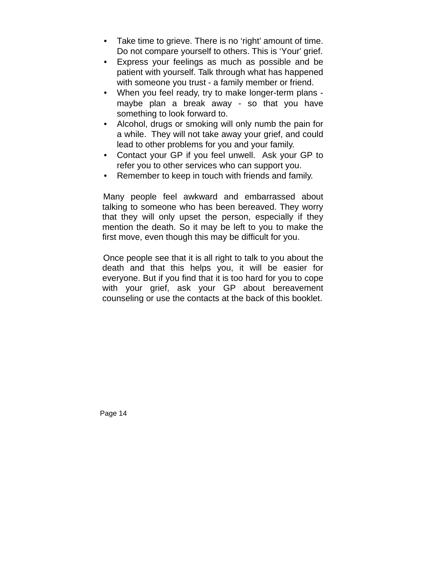- Take time to grieve. There is no 'right' amount of time. Do not compare yourself to others. This is 'Your' grief.
- Express your feelings as much as possible and be patient with yourself. Talk through what has happened with someone you trust - a family member or friend.
- When you feel ready, try to make longer-term plans maybe plan a break away - so that you have something to look forward to.
- Alcohol, drugs or smoking will only numb the pain for a while. They will not take away your grief, and could lead to other problems for you and your family.
- Contact your GP if you feel unwell. Ask your GP to refer you to other services who can support you.
- Remember to keep in touch with friends and family.

 Many people feel awkward and embarrassed about talking to someone who has been bereaved. They worry that they will only upset the person, especially if they mention the death. So it may be left to you to make the first move, even though this may be difficult for you.

 Once people see that it is all right to talk to you about the death and that this helps you, it will be easier for everyone. But if you find that it is too hard for you to cope with your grief, ask your GP about bereavement counseling or use the contacts at the back of this booklet.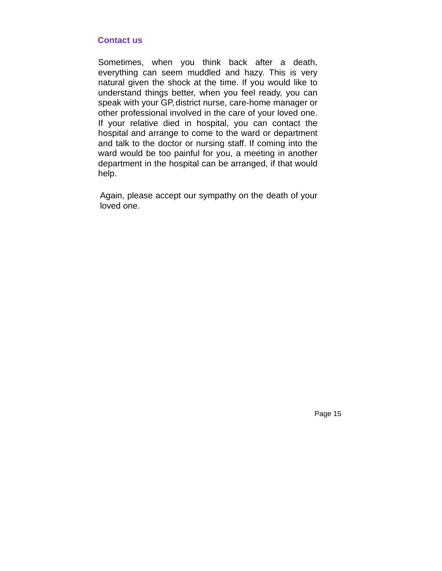### **Contact us**

Sometimes, when you think back after a death, everything can seem muddled and hazy. This is very natural given the shock at the time. If you would like to understand things better, when you feel ready, you can speak with your GP, district nurse, care-home manager or other professional involved in the care of your loved one. If your relative died in hospital, you can contact the hospital and arrange to come to the ward or department and talk to the doctor or nursing staff. If coming into the ward would be too painful for you, a meeting in another department in the hospital can be arranged, if that would help.

Again, please accept our sympathy on the death of your loved one.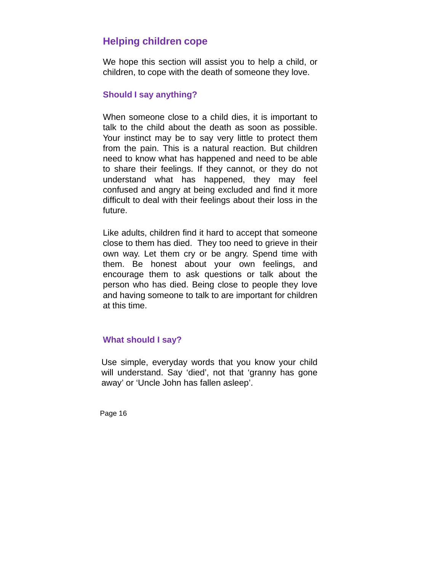# **Helping children cope**

We hope this section will assist you to help a child, or children, to cope with the death of someone they love.

# **Should I say anything?**

When someone close to a child dies, it is important to talk to the child about the death as soon as possible. Your instinct may be to say very little to protect them from the pain. This is a natural reaction. But children need to know what has happened and need to be able to share their feelings. If they cannot, or they do not understand what has happened, they may feel confused and angry at being excluded and find it more difficult to deal with their feelings about their loss in the future.

Like adults, children find it hard to accept that someone close to them has died. They too need to grieve in their own way. Let them cry or be angry. Spend time with them. Be honest about your own feelings, and encourage them to ask questions or talk about the person who has died. Being close to people they love and having someone to talk to are important for children at this time.

# **What should I say?**

Use simple, everyday words that you know your child will understand. Say 'died', not that 'granny has gone away' or 'Uncle John has fallen asleep'.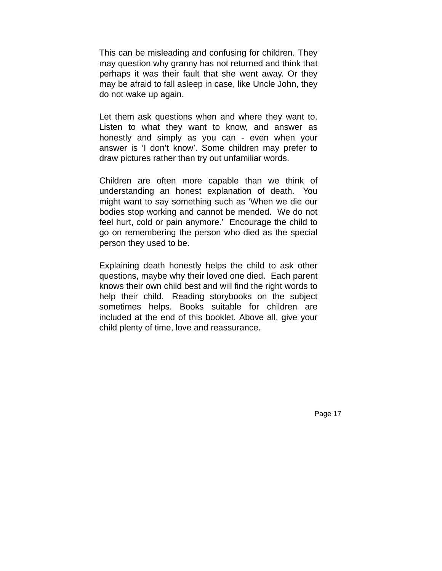This can be misleading and confusing for children. They may question why granny has not returned and think that perhaps it was their fault that she went away. Or they may be afraid to fall asleep in case, like Uncle John, they do not wake up again.

Let them ask questions when and where they want to. Listen to what they want to know, and answer as honestly and simply as you can - even when your answer is 'I don't know'. Some children may prefer to draw pictures rather than try out unfamiliar words.

Children are often more capable than we think of understanding an honest explanation of death. You might want to say something such as 'When we die our bodies stop working and cannot be mended. We do not feel hurt, cold or pain anymore.' Encourage the child to go on remembering the person who died as the special person they used to be.

Explaining death honestly helps the child to ask other questions, maybe why their loved one died. Each parent knows their own child best and will find the right words to help their child. Reading storybooks on the subject sometimes helps. Books suitable for children are included at the end of this booklet. Above all, give your child plenty of time, love and reassurance.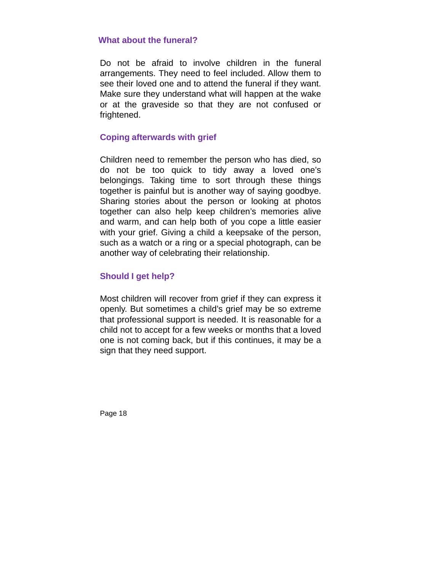### **What about the funeral?**

Do not be afraid to involve children in the funeral arrangements. They need to feel included. Allow them to see their loved one and to attend the funeral if they want. Make sure they understand what will happen at the wake or at the graveside so that they are not confused or frightened.

# **Coping afterwards with grief**

Children need to remember the person who has died, so do not be too quick to tidy away a loved one's belongings. Taking time to sort through these things together is painful but is another way of saying goodbye. Sharing stories about the person or looking at photos together can also help keep children's memories alive and warm, and can help both of you cope a little easier with your grief. Giving a child a keepsake of the person, such as a watch or a ring or a special photograph, can be another way of celebrating their relationship.

# **Should I get help?**

Most children will recover from grief if they can express it openly. But sometimes a child's grief may be so extreme that professional support is needed. It is reasonable for a child not to accept for a few weeks or months that a loved one is not coming back, but if this continues, it may be a sign that they need support.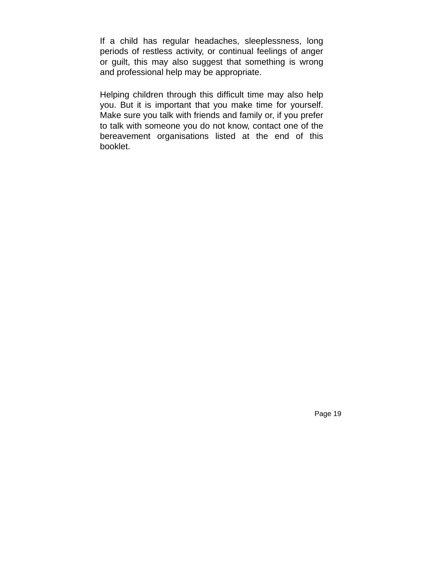If a child has regular headaches, sleeplessness, long periods of restless activity, or continual feelings of anger or guilt, this may also suggest that something is wrong and professional help may be appropriate.

Helping children through this difficult time may also help you. But it is important that you make time for yourself. Make sure you talk with friends and family or, if you prefer to talk with someone you do not know, contact one of the bereavement organisations listed at the end of this booklet.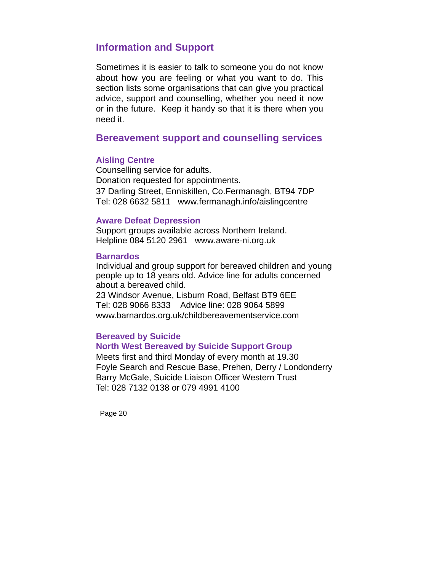# **Information and Support**

Sometimes it is easier to talk to someone you do not know about how you are feeling or what you want to do. This section lists some organisations that can give you practical advice, support and counselling, whether you need it now or in the future. Keep it handy so that it is there when you need it.

# **Bereavement support and counselling services**

### **Aisling Centre**

Counselling service for adults. Donation requested for appointments. 37 Darling Street, Enniskillen, Co.Fermanagh, BT94 7DP Tel: 028 6632 5811 www.fermanagh.info/aislingcentre

### **Aware Defeat Depression**

Support groups available across Northern Ireland. Helpline 084 5120 2961 www.aware-ni.org.uk Ì

#### **Barnardos**

Individual and group support for bereaved children and young people up to 18 years old. Advice line for adults concerned about a bereaved child.

23 Windsor Avenue, Lisburn Road, Belfast BT9 6EE Tel: 028 9066 8333 Advice line: 028 9064 5899 www.barnardos.org.uk/childbereavementservice.com

### **Bereaved by Suicide**

### **North West Bereaved by Suicide Support Group**

Meets first and third Monday of every month at 19.30 Foyle Search and Rescue Base, Prehen, Derry / Londonderry Barry McGale, Suicide Liaison Officer Western Trust Tel: 028 7132 0138 or 079 4991 4100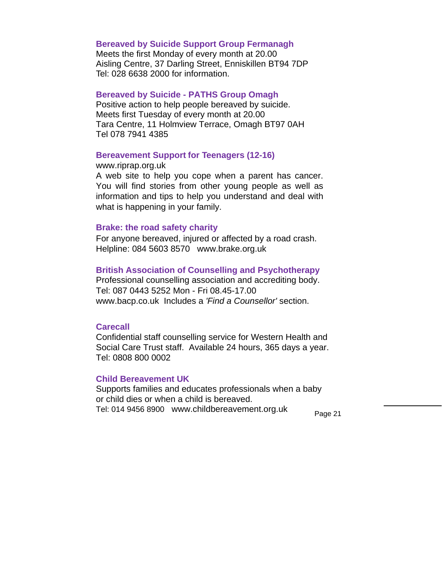# **Bereaved by Suicide Support Group Fermanagh**

Meets the first Monday of every month at 20.00 Aisling Centre, 37 Darling Street, Enniskillen BT94 7DP Tel: 028 6638 2000 for information.

### **Bereaved by Suicide - PATHS Group Omagh**

Positive action to help people bereaved by suicide. Meets first Tuesday of every month at 20.00 Tara Centre, 11 Holmview Terrace, Omagh BT97 0AH Tel 078 7941 4385

### **Bereavement Support for Teenagers (12-16)**

#### www.riprap.org.uk

A web site to help you cope when a parent has cancer. You will find stories from other young people as well as information and tips to help you understand and deal with what is happening in your family.

### **Brake: the road safety charity**

For anyone bereaved, injured or affected by a road crash. Helpline: 084 5603 8570 www.brake.org.uk

### **British Association of Counselling and Psychotherapy**

Professional counselling association and accrediting body. Tel: 087 0443 5252 Mon - Fri 08.45-17.00 www.bacp.co.uk Includes a *'Find a Counsellor'* section.

### **Carecall**

Confidential staff counselling service for Western Health and Social Care Trust staff. Available 24 hours, 365 days a year. Tel: 0808 800 0002

#### **Child Bereavement UK**

Supports families and educates professionals when a baby or child dies or when a child is bereaved. Tel: 014 9456 8900 www.childbereavement.org.uk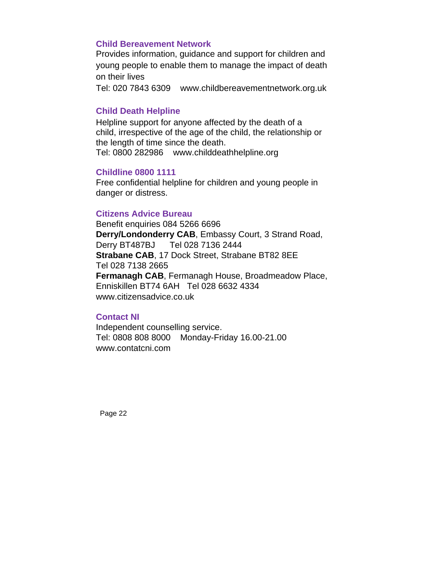# **Child Bereavement Network**

Provides information, guidance and support for children and young people to enable them to manage the impact of death on their lives

Tel: 020 7843 6309 www.childbereavementnetwork.org.uk

# **Child Death Helpline**

Helpline support for anyone affected by the death of a child, irrespective of the age of the child, the relationship or the length of time since the death. Tel: 0800 282986 www.childdeathhelpline.org

### **Childline 0800 1111**

Free confidential helpline for children and young people in danger or distress.

### **Citizens Advice Bureau**

Benefit enquiries 084 5266 6696 **Derry/Londonderry CAB**, Embassy Court, 3 Strand Road, Derry BT487BJ Tel 028 7136 2444 **Strabane CAB**, 17 Dock Street, Strabane BT82 8EE Tel 028 7138 2665 **Fermanagh CAB**, Fermanagh House, Broadmeadow Place, Enniskillen BT74 6AH Tel 028 6632 4334 www.citizensadvice.co.uk

### **Contact NI**

Independent counselling service. Tel: 0808 808 8000 Monday-Friday 16.00-21.00 www.contatcni.com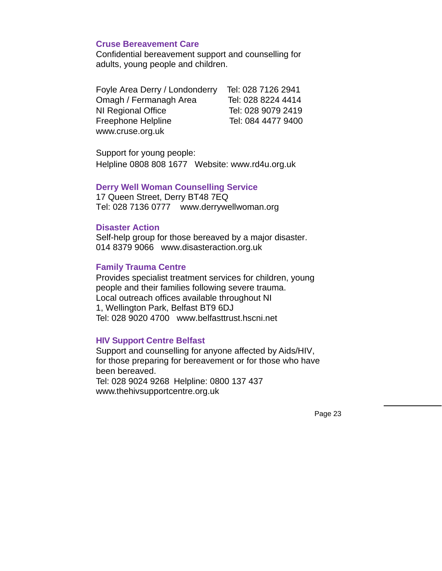### **Cruse Bereavement Care**

Confidential bereavement support and counselling for adults, young people and children.

| Foyle Area Derry / Londonderry | Tel: 028 7126 2941 |
|--------------------------------|--------------------|
| Omagh / Fermanagh Area         | Tel: 028 8224 4414 |
| NI Regional Office             | Tel: 028 9079 2419 |
| Freephone Helpline             | Tel: 084 4477 9400 |
| www.cruse.org.uk               |                    |

Support for young people: Helpline 0808 808 1677 Website: www.rd4u.org.uk

### **Derry Well Woman Counselling Service**

17 Queen Street, Derry BT48 7EQ Tel: 028 7136 0777 www.derrywellwoman.org

### **Disaster Action**

Self-help group for those bereaved by a major disaster. 014 8379 9066 www.disasteraction.org.uk

# **Family Trauma Centre**

Provides specialist treatment services for children, young people and their families following severe trauma. Local outreach offices available throughout NI 1, Wellington Park, Belfast BT9 6DJ Tel: 028 9020 4700 www.belfasttrust.hscni.net

### **HIV Support Centre Belfast**

Support and counselling for anyone affected by Aids/HIV, for those preparing for bereavement or for those who have been bereaved. Tel: 028 9024 9268 Helpline: 0800 137 437 www.thehivsupportcentre.org.uk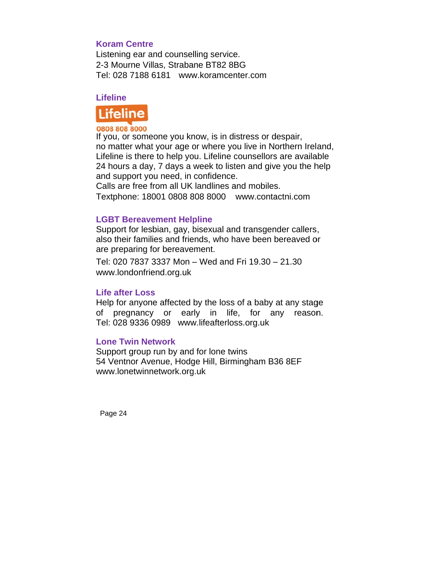# **Koram Centre**

Listening ear and counselling service. 2-3 Mourne Villas, Strabane BT82 8BG Tel: 028 7188 6181 www.koramcenter.com

# **Lifeline**



### 0808 808 8000

If you, or someone you know, is in distress or despair, no matter what your age or where you live in Northern Ireland, Lifeline is there to help you. Lifeline counsellors are available 24 hours a day, 7 days a week to listen and give you the help and support you need, in confidence.

Calls are free from all UK landlines and mobiles. Tex tphone: 18 001 0808 8 808 8000 www.conta actni.com

# **LGBT Bereavement Helpline**

Support for lesbian, gay, bisexual and transgender callers, also their families and friends, who have been bereaved or are preparing for bereavement.

Tel: 020 7837 3337 Mon – – Wed and Fri 19.30 – – 21.30 www.londonfriend.org.uk

### **Life after Loss**

Help for anyone affected by the loss of a baby at any stage of pregnancy or early in life, for a Tel: 028 9336 0989 www w.lifeafterlo ss.org.uk ny reason.

### **Lone Twin Network**

Support group run by and for lone twins 54 Ventnor Avenue, Hodge Hill, Birmingham B36 8EF www.lonetwinnetwork.org.uk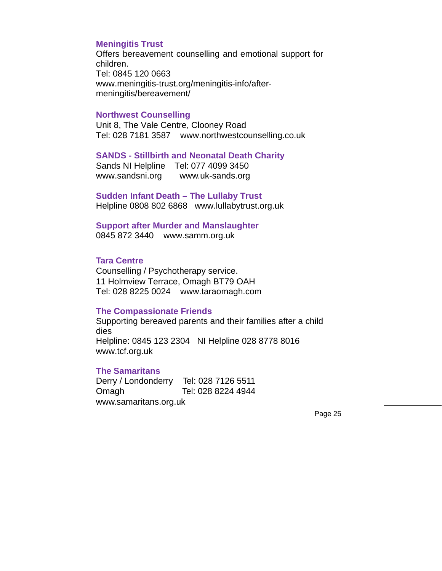### **Meningitis Trust**

Offers bereavement counselling and emotional support for children. Tel: 0845 120 0663 www.meningitis-trust.org/meningitis-info/aftermeningitis/bereavement/

### **Northwest Counselling**

Unit 8, The Vale Centre, Clooney Road Tel: 028 7181 3587 www.northwestcounselling.co.uk

#### **SANDS - Stillbirth and Neonatal Death Charity**

Sands NI Helpline Tel: 077 4099 3450 www.sandsni.org www.uk-sands.org

**Sudden Infant Death – The Lullaby Trust**  Helpline 0808 802 6868www.lullabytrust.org.uk

**Support after Murder and Manslaughter**  0845 872 3440 www.samm.org.uk

### **Tara Centre**

Counselling / Psychotherapy service. 11 Holmview Terrace, Omagh BT79 OAH Tel: 028 8225 0024 www.taraomagh.com

#### **The Compassionate Friends**

Supporting bereaved parents and their families after a child dies Helpline: 0845 123 2304 NI Helpline 028 8778 8016 www.tcf.org.uk

#### **The Samaritans**

Derry / Londonderry Tel: 028 7126 5511 Omagh Tel: 028 8224 4944 www.samaritans.org.uk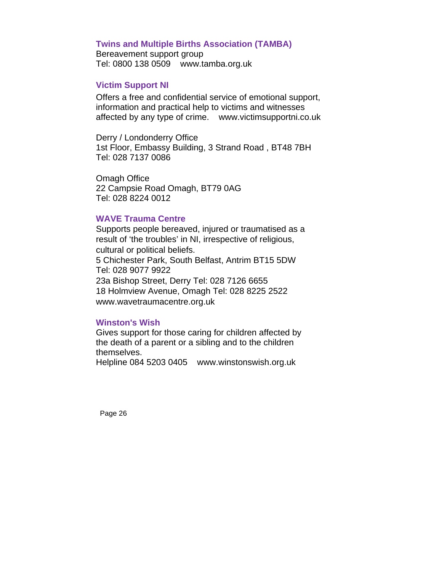### **Twins and Multiple Births Association (TAMBA)**

Bereavement support group Tel: 0800 138 0509 www.tamba.org.uk

### **Victim Support NI**

Offers a free and confidential service of emotional support, information and practical help to victims and witnesses affected by any type of crime. www.victimsupportni.co.uk

Derry / Londonderry Office 1st Floor, Embassy Building, 3 Strand Road , BT48 7BH Tel: 028 7137 0086

Omagh Office 22 Campsie Road Omagh, BT79 0AG Tel: 028 8224 0012

### **WAVE Trauma Centre**

Supports people bereaved, injured or traumatised as a result of 'the troubles' in NI, irrespective of religious, cultural or political beliefs. 5 Chichester Park, South Belfast, Antrim BT15 5DW Tel: 028 9077 9922 23a Bishop Street, Derry Tel: 028 7126 6655 18 Holmview Avenue, Omagh Tel: 028 8225 2522 www.wavetraumacentre.org.uk

### **Winston's Wish**

Gives support for those caring for children affected by the death of a parent or a sibling and to the children themselves.

Helpline 084 5203 0405 www.winstonswish.org.uk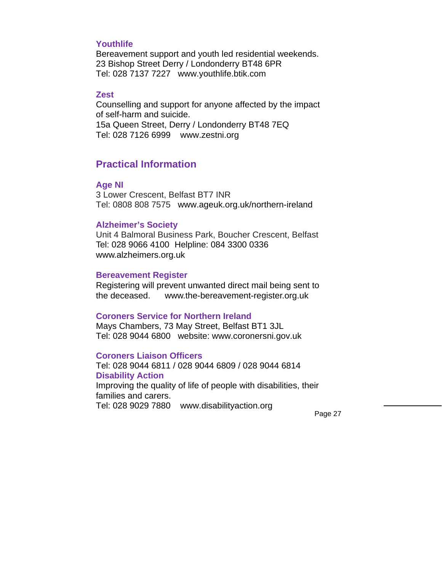### **Youthlife**

Bereavement support and youth led residential weekends. 23 Bishop Street Derry / Londonderry BT48 6PR Tel: 028 7137 7227 www.youthlife.btik.com

# **Zest**

Counselling and support for anyone affected by the impact of self-harm and suicide. 15a Queen Street, Derry / Londonderry BT48 7EQ Tel: 028 7126 6999 www.zestni.org

# **Practical Information**

#### **Age NI**

3 Lower Crescent, Belfast BT7 INR Tel: 0808 808 7575 www.ageuk.org.uk/northern-ireland

#### **Alzheimer's Society**

Unit 4 Balmoral Business Park, Boucher Crescent, Belfast Tel: 028 9066 4100 Helpline: 084 3300 0336 www.alzheimers.org.uk

### **Bereavement Register**

Registering will prevent unwanted direct mail being sent to the deceased. www.the-bereavement-register.org.uk

#### **Coroners Service for Northern Ireland**

Mays Chambers, 73 May Street, Belfast BT1 3JL Tel: 028 9044 6800 website: www.coronersni.gov.uk

### **Coroners Liaison Officers**

Tel: 028 9044 6811 / 028 9044 6809 / 028 9044 6814 **Disability Action**  Improving the quality of life of people with disabilities, their families and carers. Tel: 028 9029 7880 www.disabilityaction.org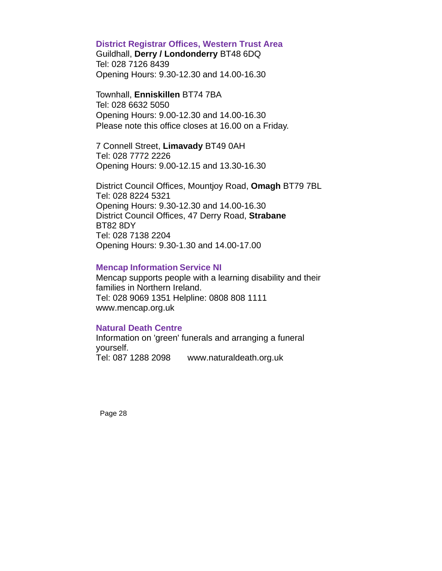### **District Registrar Offices, Western Trust Area**

Guildhall, **Derry / Londonderry** BT48 6DQ Tel: 028 7126 8439 Opening Hours: 9.30-12.30 and 14.00-16.30

Townhall, **Enniskillen** BT74 7BA Tel: 028 6632 5050 Opening Hours: 9.00-12.30 and 14.00-16.30 Please note this office closes at 16.00 on a Friday.

7 Connell Street, **Limavady** BT49 0AH Tel: 028 7772 2226 Opening Hours: 9.00-12.15 and 13.30-16.30

District Council Offices, Mountjoy Road, **Omagh** BT79 7BL Tel: 028 8224 5321 Opening Hours: 9.30-12.30 and 14.00-16.30 District Council Offices, 47 Derry Road, **Strabane**  BT82 8DY Tel: 028 7138 2204 Opening Hours: 9.30-1.30 and 14.00-17.00

### **Mencap Information Service NI**

Mencap supports people with a learning disability and their families in Northern Ireland. Tel: 028 9069 1351 Helpline: 0808 808 1111 www.mencap.org.uk

### **Natural Death Centre**

Information on 'green' funerals and arranging a funeral yourself. Tel: 087 1288 2098 www.naturaldeath.org.uk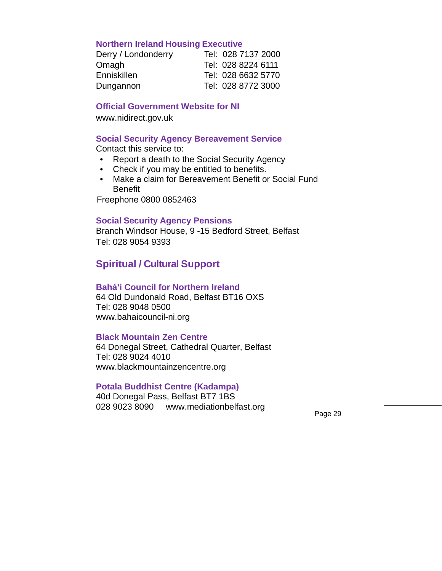### **Northern Ireland Housing Executive**

| Derry / Londonderry | Tel: 028 7137 2000 |
|---------------------|--------------------|
| Omagh               | Tel: 028 8224 6111 |
| Enniskillen         | Tel: 028 6632 5770 |
| Dungannon           | Tel: 028 8772 3000 |

### **Official Government Website for NI**

www.nidirect.gov.uk

### **Social Security Agency Bereavement Service**

Contact this service to:

- Report a death to the Social Security Agency
- Check if you may be entitled to benefits.
- Make a claim for Bereavement Benefit or Social Fund Benefit

Freephone 0800 0852463

### **Social Security Agency Pensions**

Branch Windsor House, 9 -15 Bedford Street, Belfast Tel: 028 9054 9393

# **Spiritual / Cultural Support**

### **Bahá'i Council for Northern Ireland**

64 Old Dundonald Road, Belfast BT16 OXS Tel: 028 9048 0500 www.bahaicouncil-ni.org

### **Black Mountain Zen Centre**

64 Donegal Street, Cathedral Quarter, Belfast Tel: 028 9024 4010 www.blackmountainzencentre.org

### **Potala Buddhist Centre (Kadampa)**

40d Donegal Pass, Belfast BT7 1BS 028 9023 8090 www.mediationbelfast.org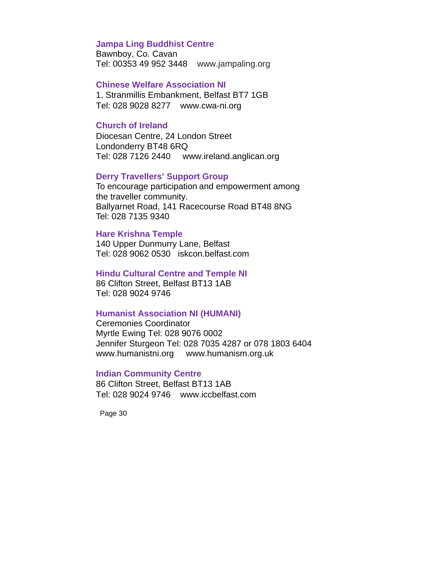# **Jampa Ling Buddhist Centre**

Bawnboy, Co. Cavan Tel: 00353 49 952 3448 www.jampaling.org

### **Chinese Welfare Association NI**

1, Stranmillis Embankment, Belfast BT7 1GB Tel: 028 9028 8277 www.cwa-ni.org

### **Church of Ireland**

Diocesan Centre, 24 London Street Londonderry BT48 6RQ Tel: 028 7126 2440 www.ireland.anglican.org

### **Derry Travellers' Support Group**

To encourage participation and empowerment among the traveller community. Ballyarnet Road, 141 Racecourse Road BT48 8NG Tel: 028 7135 9340

### **Hare Krishna Temple**

140 Upper Dunmurry Lane, Belfast Tel: 028 9062 0530 iskcon.belfast.com

### **Hindu Cultural Centre and Temple NI**

86 Clifton Street, Belfast BT13 1AB Tel: 028 9024 9746

### **Humanist Association NI (HUMANI)**

Ceremonies Coordinator Myrtle Ewing Tel: 028 9076 0002 Jennifer Sturgeon Tel: 028 7035 4287 or 078 1803 6404 www.humanistni.org www.humanism.org.uk

### **Indian Community Centre**

86 Clifton Street, Belfast BT13 1AB Tel: 028 9024 9746 www.iccbelfast.com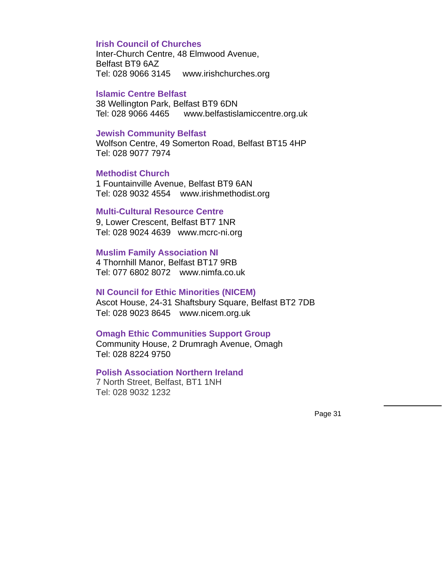### **Irish Council of Churches**

Inter-Church Centre, 48 Elmwood Avenue, Belfast BT9 6AZ Tel: 028 9066 3145 www.irishchurches.org

#### **Islamic Centre Belfast**

38 Wellington Park, Belfast BT9 6DN Tel: 028 9066 4465 www.belfastislamiccentre.org.uk

### **Jewish Community Belfast**

Wolfson Centre, 49 Somerton Road, Belfast BT15 4HP Tel: 028 9077 7974

### **Methodist Church**

1 Fountainville Avenue, Belfast BT9 6AN Tel: 028 9032 4554 www.irishmethodist.org

### **Multi-Cultural Resource Centre**

9, Lower Crescent, Belfast BT7 1NR Tel: 028 9024 4639 www.mcrc-ni.org

### **Muslim Family Association NI**

4 Thornhill Manor, Belfast BT17 9RB Tel: 077 6802 8072 www.nimfa.co.uk

#### **NI Council for Ethic Minorities (NICEM)**

Ascot House, 24-31 Shaftsbury Square, Belfast BT2 7DB Tel: 028 9023 8645 www.nicem.org.uk

### **Omagh Ethic Communities Support Group**

Community House, 2 Drumragh Avenue, Omagh Tel: 028 8224 9750

### **Polish Association Northern Ireland**

7 North Street, Belfast, BT1 1NH Tel: 028 9032 1232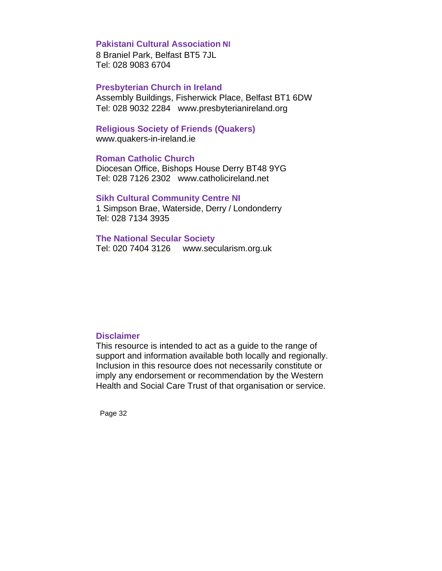### **Pakistani Cultural Association NI**

8 Braniel Park, Belfast BT5 7JL Tel: 028 9083 6704

### **Presbyterian Church in Ireland**

Assembly Buildings, Fisherwick Place, Belfast BT1 6DW Tel: 028 9032 2284 www.presbyterianireland.org

### **Religious Society of Friends (Quakers)**

www.quakers-in-ireland.ie

### **Roman Catholic Church**

Diocesan Office, Bishops House Derry BT48 9YG Tel: 028 7126 2302 www.catholicireland.net

### **Sikh Cultural Community Centre NI**

1 Simpson Brae, Waterside, Derry / Londonderry Tel: 028 7134 3935

### **The National Secular Society**

Tel: 020 7404 3126 www.secularism.org.uk

#### **Disclaimer**

This resource is intended to act as a guide to the range of support and information available both locally and regionally. Inclusion in this resource does not necessarily constitute or imply any endorsement or recommendation by the Western Health and Social Care Trust of that organisation or service.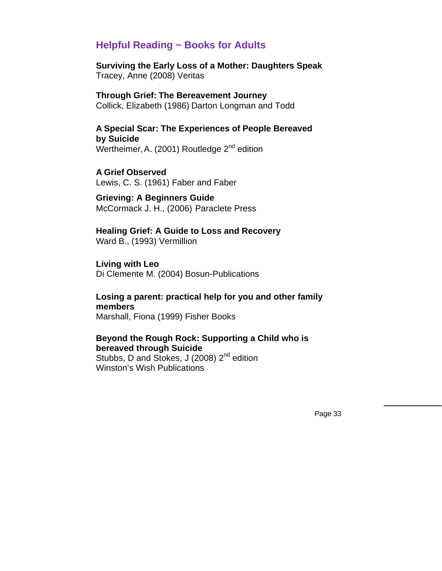# **Helpful Reading ~ Books for Adults**

**Surviving the Early Loss of a Mother: Daughters Speak**  Tracey, Anne (2008) Veritas

**Through Grief: The Bereavement Journey**  Collick, Elizabeth (1986) Darton Longman and Todd

**A Special Scar: The Experiences of People Bereaved by Suicide**  Wertheimer, A. (2001) Routledge  $2^{nd}$  edition

**A Grief Observed**  Lewis, C. S. (1961) Faber and Faber

**Grieving: A Beginners Guide**  McCormack J. H., (2006) Paraclete Press

**Healing Grief: A Guide to Loss and Recovery**  Ward B., (1993) Vermillion

**Living with Leo**  Di Clemente M. (2004) Bosun-Publications

**Losing a parent: practical help for you and other family members** Marshall, Fiona (1999) Fisher Books

**Beyond the Rough Rock: Supporting a Child who is bereaved through Suicide** Stubbs, D and Stokes, J (2008) 2<sup>nd</sup> edition

Winston's Wish Publications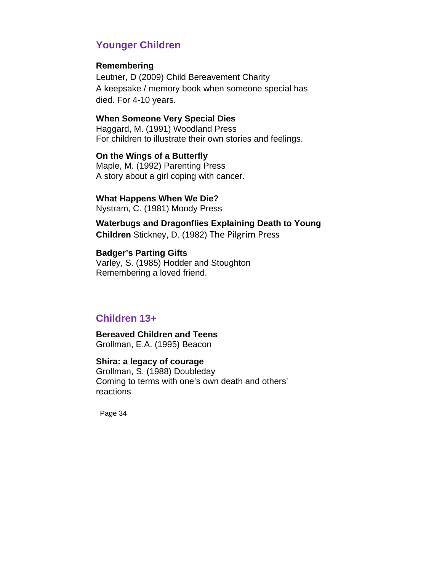# **Younger Children**

### **Remembering**

Leutner, D (2009) Child Bereavement Charity A keepsake / memory book when someone special has died. For 4-10 years.

# **When Someone Very Special Dies**

Haggard, M. (1991) Woodland Press For children to illustrate their own stories and feelings.

**On the Wings of a Butterfly**  Maple, M. (1992) Parenting Press A story about a girl coping with cancer.

### **What Happens When We Die?**

Nystram, C. (1981) Moody Press

**Waterbugs and Dragonflies Explaining Death to Young Children** Stickney, D. (1982) The Pilgrim Press

**Badger's Parting Gifts**  Varley, S. (1985) Hodder and Stoughton Remembering a loved friend.

# **Children 13+**

**Bereaved Children and Teens**  Grollman, E.A. (1995) Beacon

### **Shira: a legacy of courage**  Grollman, S. (1988) Doubleday

Coming to terms with one's own death and others' reactions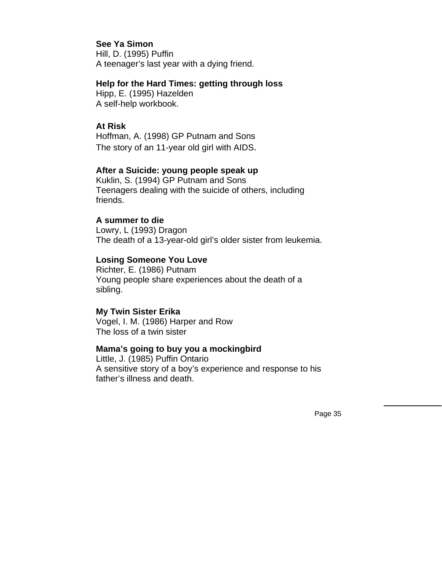# **See Ya Simon**

Hill, D. (1995) Puffin A teenager's last year with a dying friend.

### **Help for the Hard Times: getting through loss**

Hipp, E. (1995) Hazelden A self-help workbook.

# **At Risk**

Hoffman, A. (1998) GP Putnam and Sons The story of an 11-year old girl with AIDS.

### **After a Suicide: young people speak up**

Kuklin, S. (1994) GP Putnam and Sons Teenagers dealing with the suicide of others, including friends.

### **A summer to die**

Lowry, L (1993) Dragon The death of a 13-year-old girl's older sister from leukemia.

### **Losing Someone You Love**

Richter, E. (1986) Putnam Young people share experiences about the death of a sibling.

### **My Twin Sister Erika**

Vogel, I. M. (1986) Harper and Row The loss of a twin sister

# **Mama's going to buy you a mockingbird**

Little, J. (1985) Puffin Ontario A sensitive story of a boy's experience and response to his father's illness and death.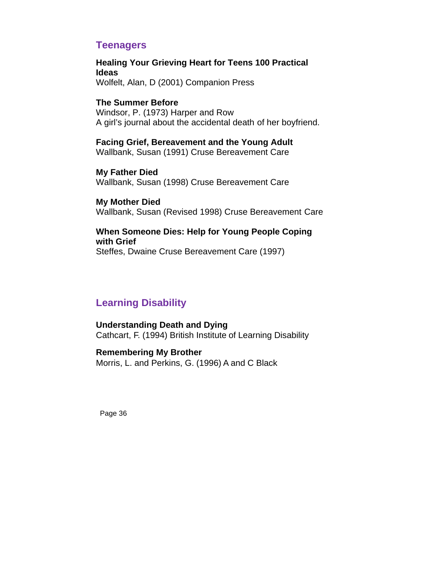# **Teenagers**

**Healing Your Grieving Heart for Teens 100 Practical Ideas**  Wolfelt, Alan, D (2001) Companion Press

# **The Summer Before**

Windsor, P. (1973) Harper and Row A girl's journal about the accidental death of her boyfriend.

**Facing Grief, Bereavement and the Young Adult** 

Wallbank, Susan (1991) Cruse Bereavement Care

**My Father Died**  Wallbank, Susan (1998) Cruse Bereavement Care

**My Mother Died**  Wallbank, Susan (Revised 1998) Cruse Bereavement Care

# **When Someone Dies: Help for Young People Coping with Grief**

Steffes, Dwaine Cruse Bereavement Care (1997)

# **Learning Disability**

**Understanding Death and Dying**  Cathcart, F. (1994) British Institute of Learning Disability

**Remembering My Brother**  Morris, L. and Perkins, G. (1996) A and C Black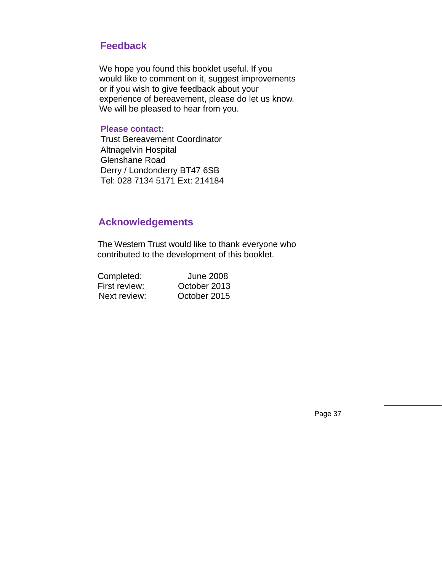# **Feedback**

We hope you found this booklet useful. If you would like to comment on it, suggest improvements or if you wish to give feedback about your experience of bereavement, please do let us know. We will be pleased to hear from you.

# **Please contact:**

 Trust Bereavement Coordinator Altnagelvin Hospital Glenshane Road Derry / Londonderry BT47 6SB Tel: 028 7134 5171 Ext: 214184

# **Acknowledgements**

 The Western Trust would like to thank everyone who contributed to the development of this booklet.

| Completed:    | <b>June 2008</b> |
|---------------|------------------|
| First review: | October 2013     |
| Next review:  | October 2015     |